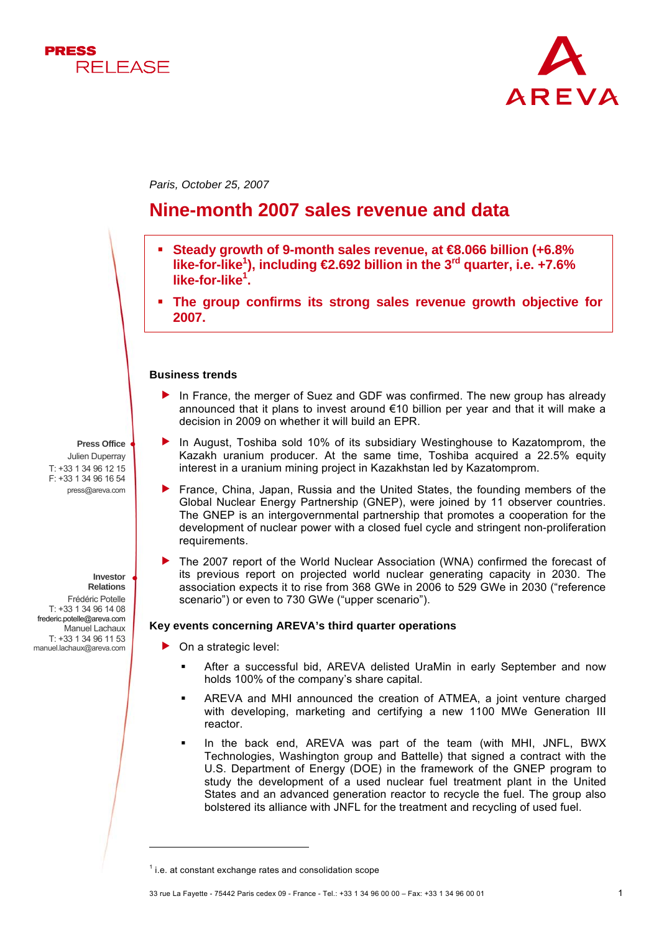



*Paris, October 25, 2007* 

# **Nine-month 2007 sales revenue and data**

- **Steady growth of 9-month sales revenue, at €8.066 billion (+6.8%**  like-for-like<sup>1</sup>), including **€2.692** billion in the 3<sup>rd</sup> quarter, i.e. +7.6% **like-for-like1 .**
- **The group confirms its strong sales revenue growth objective for 2007.**

### **Business trends**

- $\blacktriangleright$  In France, the merger of Suez and GDF was confirmed. The new group has already announced that it plans to invest around  $\epsilon$ 10 billion per year and that it will make a decision in 2009 on whether it will build an EPR.
- In August, Toshiba sold 10% of its subsidiary Westinghouse to Kazatomprom, the Kazakh uranium producer. At the same time, Toshiba acquired a 22.5% equity interest in a uranium mining project in Kazakhstan led by Kazatomprom.
- f France, China, Japan, Russia and the United States, the founding members of the Global Nuclear Energy Partnership (GNEP), were joined by 11 observer countries. The GNEP is an intergovernmental partnership that promotes a cooperation for the development of nuclear power with a closed fuel cycle and stringent non-proliferation requirements.
- f The 2007 report of the World Nuclear Association (WNA) confirmed the forecast of its previous report on projected world nuclear generating capacity in 2030. The association expects it to rise from 368 GWe in 2006 to 529 GWe in 2030 ("reference scenario") or even to 730 GWe ("upper scenario").

## **Key events concerning AREVA's third quarter operations**

- $\triangleright$  On a strategic level:
	- After a successful bid, AREVA delisted UraMin in early September and now holds 100% of the company's share capital.
	- AREVA and MHI announced the creation of ATMEA, a joint venture charged with developing, marketing and certifying a new 1100 MWe Generation III reactor.
	- In the back end, AREVA was part of the team (with MHI, JNFL, BWX Technologies, Washington group and Battelle) that signed a contract with the U.S. Department of Energy (DOE) in the framework of the GNEP program to study the development of a used nuclear fuel treatment plant in the United States and an advanced generation reactor to recycle the fuel. The group also bolstered its alliance with JNFL for the treatment and recycling of used fuel.

**Press Office** Julien Duperray T: +33 1 34 96 12 15 F: +33 1 34 96 16 54 press@areva.com

> **Investor Relations**

> > l

Frédéric Potelle T: +33 1 34 96 14 08 frederic.potelle@areva.com Manuel Lachaux T: +33 1 34 96 11 53 manuel.lachaux@areva.com

 $1$  i.e. at constant exchange rates and consolidation scope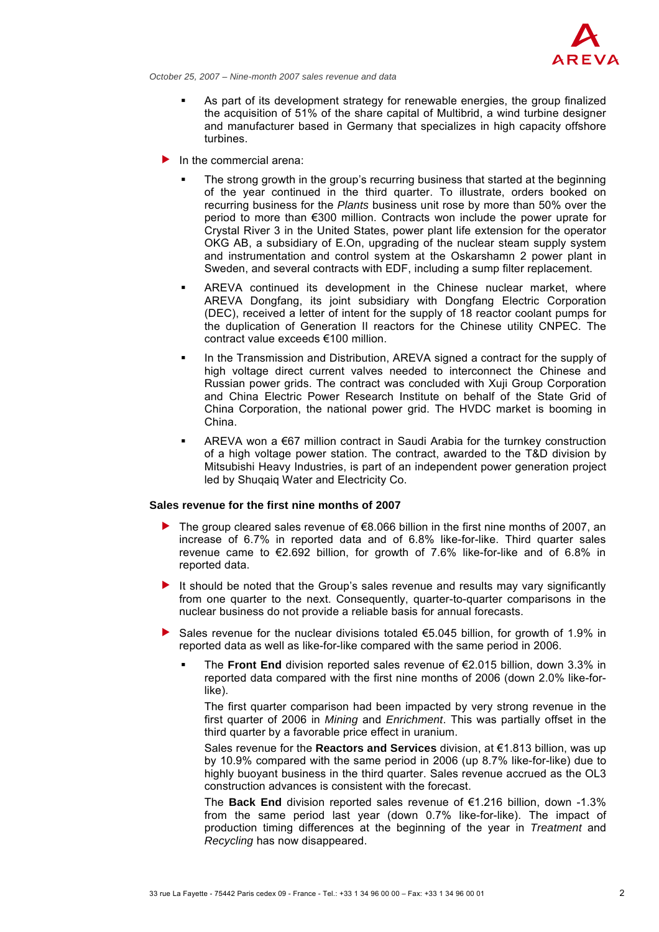

*October 25, 2007 – Nine-month 2007 sales revenue and data*

- As part of its development strategy for renewable energies, the group finalized the acquisition of 51% of the share capital of Multibrid, a wind turbine designer and manufacturer based in Germany that specializes in high capacity offshore turbines.
- In the commercial arena:
	- The strong growth in the group's recurring business that started at the beginning of the year continued in the third quarter. To illustrate, orders booked on recurring business for the *Plants* business unit rose by more than 50% over the period to more than €300 million. Contracts won include the power uprate for Crystal River 3 in the United States, power plant life extension for the operator OKG AB, a subsidiary of E.On, upgrading of the nuclear steam supply system and instrumentation and control system at the Oskarshamn 2 power plant in Sweden, and several contracts with EDF, including a sump filter replacement.
	- AREVA continued its development in the Chinese nuclear market, where AREVA Dongfang, its joint subsidiary with Dongfang Electric Corporation (DEC), received a letter of intent for the supply of 18 reactor coolant pumps for the duplication of Generation II reactors for the Chinese utility CNPEC. The contract value exceeds €100 million.
	- In the Transmission and Distribution, AREVA signed a contract for the supply of high voltage direct current valves needed to interconnect the Chinese and Russian power grids. The contract was concluded with Xuji Group Corporation and China Electric Power Research Institute on behalf of the State Grid of China Corporation, the national power grid. The HVDC market is booming in China.
	- AREVA won a €67 million contract in Saudi Arabia for the turnkey construction of a high voltage power station. The contract, awarded to the T&D division by Mitsubishi Heavy Industries, is part of an independent power generation project led by Shuqaiq Water and Electricity Co.

## **Sales revenue for the first nine months of 2007**

- $\triangleright$  The group cleared sales revenue of €8.066 billion in the first nine months of 2007, an increase of 6.7% in reported data and of 6.8% like-for-like. Third quarter sales revenue came to  $\epsilon$ 2.692 billion, for growth of 7.6% like-for-like and of 6.8% in reported data.
- It should be noted that the Group's sales revenue and results may vary significantly from one quarter to the next. Consequently, quarter-to-quarter comparisons in the nuclear business do not provide a reliable basis for annual forecasts.
- Sales revenue for the nuclear divisions totaled  $\epsilon$ 5.045 billion, for growth of 1.9% in reported data as well as like-for-like compared with the same period in 2006.
	- The **Front End** division reported sales revenue of €2.015 billion, down 3.3% in reported data compared with the first nine months of 2006 (down 2.0% like-forlike).

The first quarter comparison had been impacted by very strong revenue in the first quarter of 2006 in *Mining* and *Enrichment*. This was partially offset in the third quarter by a favorable price effect in uranium.

Sales revenue for the **Reactors and Services** division, at €1.813 billion, was up by 10.9% compared with the same period in 2006 (up 8.7% like-for-like) due to highly buoyant business in the third quarter. Sales revenue accrued as the OL3 construction advances is consistent with the forecast.

The **Back End** division reported sales revenue of €1.216 billion, down -1.3% from the same period last year (down 0.7% like-for-like). The impact of production timing differences at the beginning of the year in *Treatment* and *Recycling* has now disappeared.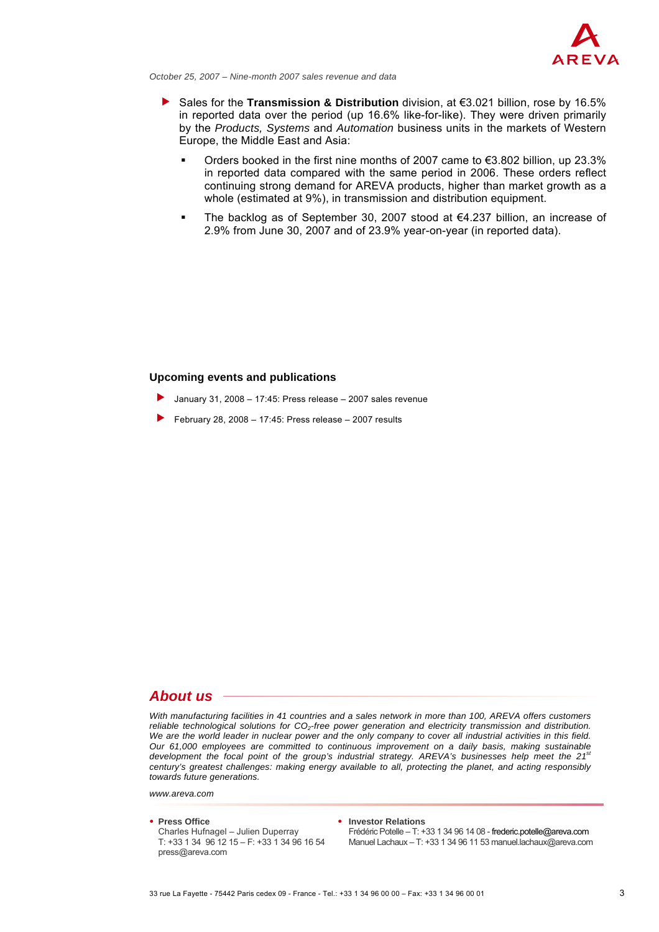

*October 25, 2007 – Nine-month 2007 sales revenue and data*

- **F** Sales for the **Transmission & Distribution** division, at €3.021 billion, rose by 16.5% in reported data over the period (up 16.6% like-for-like). They were driven primarily by the *Products, Systems* and *Automation* business units in the markets of Western Europe, the Middle East and Asia:
	- Orders booked in the first nine months of 2007 came to  $\epsilon$ 3.802 billion, up 23.3% in reported data compared with the same period in 2006. These orders reflect continuing strong demand for AREVA products, higher than market growth as a whole (estimated at 9%), in transmission and distribution equipment.
	- The backlog as of September 30, 2007 stood at €4.237 billion, an increase of 2.9% from June 30, 2007 and of 23.9% year-on-year (in reported data).

## **Upcoming events and publications**

- January 31, 2008 17:45: Press release 2007 sales revenue
- f February 28, 2008 17:45: Press release 2007 results

## *About us*

*With manufacturing facilities in 41 countries and a sales network in more than 100, AREVA offers customers*  reliable technological solutions for CO<sub>2</sub>-free power generation and electricity transmission and distribution. *We are the world leader in nuclear power and the only company to cover all industrial activities in this field. Our 61,000 employees are committed to continuous improvement on a daily basis, making sustainable*  development the focal point of the group's industrial strategy. AREVA's businesses help meet the 21<sup>st</sup> *century's greatest challenges: making energy available to all, protecting the planet, and acting responsibly towards future generations.*

*www.areva.com*

● **Press Office** ● **Investor Relations**

press@areva.com

Charles Hufnagel – Julien Duperray Frédéric Potelle – T: +33 1 34 96 14 08 - frederic.potelle@areva.com<br>T: +33 1 34 96 12 15 – F: +33 1 34 96 16 54 Manuel Lachaux – T: +33 1 34 96 11 53 manuel.lachaux@areva.com Manuel Lachaux – T: +33 1 34 96 11 53 manuel lachaux@areva.com